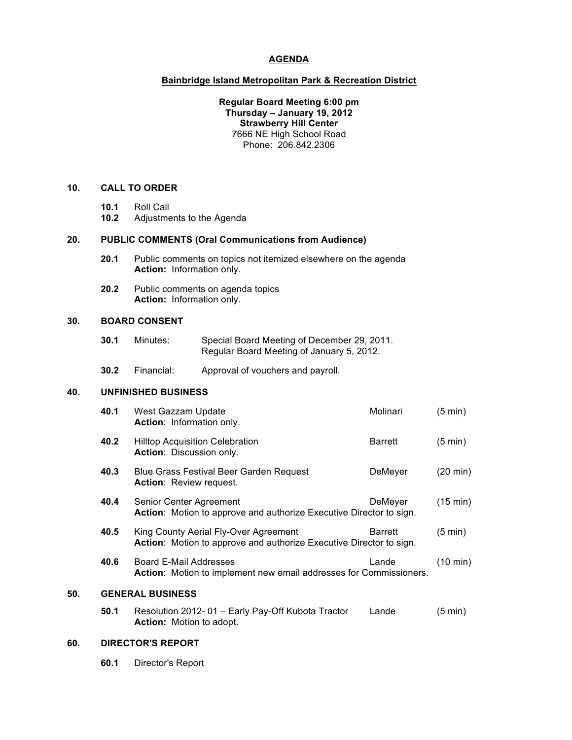### **AGENDA**

#### **Bainbridge Island Metropolitan Park & Recreation District**

**Regular Board Meeting 6:00 pm Thursday – January 19, 2012 Strawberry Hill Center** 7666 NE High School Road Phone: 206.842.2306

# **10. CALL TO ORDER**

- **10.1** Roll Call
- **10.2** Adjustments to the Agenda

# **20. PUBLIC COMMENTS (Oral Communications from Audience)**

- **20.1** Public comments on topics not itemized elsewhere on the agenda **Action:** Information only.
- **20.2** Public comments on agenda topics **Action:** Information only.

## **30. BOARD CONSENT**

- **30.1** Minutes: Special Board Meeting of December 29, 2011. Regular Board Meeting of January 5, 2012.
- **30.2** Financial: Approval of vouchers and payroll.

# **40. UNFINISHED BUSINESS**

| c٨  |                         | DIDECTOD'S DEDODT                                                                                            |                |                    |  |  |
|-----|-------------------------|--------------------------------------------------------------------------------------------------------------|----------------|--------------------|--|--|
|     | 50.1                    | Resolution 2012-01 - Early Pay-Off Kubota Tractor<br><b>Action:</b> Motion to adopt.                         | Lande          | (5 min)            |  |  |
| 50. | <b>GENERAL BUSINESS</b> |                                                                                                              |                |                    |  |  |
|     | 40.6                    | <b>Board E-Mail Addresses</b><br>Action: Motion to implement new email addresses for Commissioners.          | Lande          | $(10 \text{ min})$ |  |  |
|     | 40.5                    | King County Aerial Fly-Over Agreement<br>Action: Motion to approve and authorize Executive Director to sign. | Barrett        | $(5 \text{ min})$  |  |  |
|     | 40.4                    | Senior Center Agreement<br>Action: Motion to approve and authorize Executive Director to sign.               | DeMeyer        | $(15 \text{ min})$ |  |  |
|     | 40.3                    | Blue Grass Festival Beer Garden Request<br><b>Action:</b> Review request.                                    | DeMeyer        | (20 min)           |  |  |
|     | 40.2                    | <b>Hilltop Acquisition Celebration</b><br>Action: Discussion only.                                           | <b>Barrett</b> | $(5 \text{ min})$  |  |  |
|     | 40.1                    | West Gazzam Update<br>Action: Information only.                                                              | Molinari       | $(5 \text{ min})$  |  |  |

### **60. DIRECTOR'S REPORT**

**60.1** Director's Report